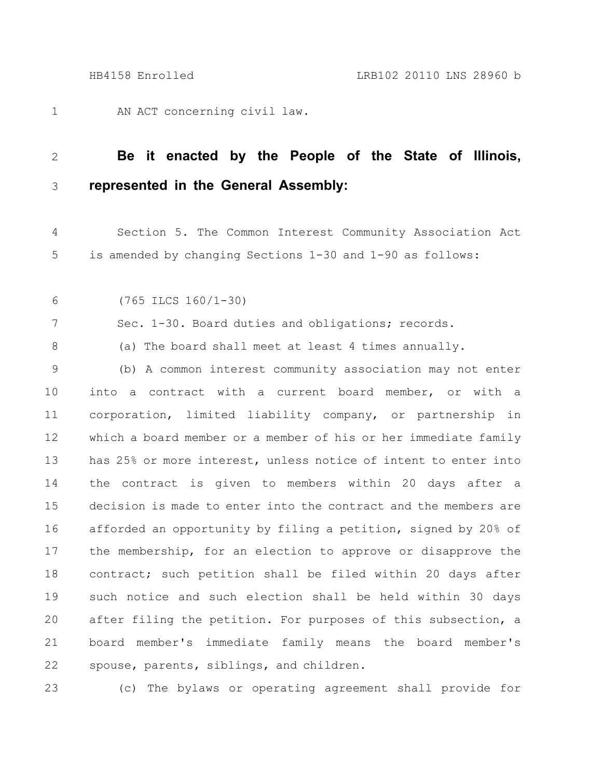AN ACT concerning civil law. 1

#### **Be it enacted by the People of the State of Illinois, represented in the General Assembly:** 2 3

- Section 5. The Common Interest Community Association Act is amended by changing Sections 1-30 and 1-90 as follows: 4 5
- (765 ILCS 160/1-30) 6

7

8

Sec. 1-30. Board duties and obligations; records.

(a) The board shall meet at least 4 times annually.

(b) A common interest community association may not enter into a contract with a current board member, or with a corporation, limited liability company, or partnership in which a board member or a member of his or her immediate family has 25% or more interest, unless notice of intent to enter into the contract is given to members within 20 days after a decision is made to enter into the contract and the members are afforded an opportunity by filing a petition, signed by 20% of the membership, for an election to approve or disapprove the contract; such petition shall be filed within 20 days after such notice and such election shall be held within 30 days after filing the petition. For purposes of this subsection, a board member's immediate family means the board member's spouse, parents, siblings, and children. 9 10 11 12 13 14 15 16 17 18 19 20 21 22

23

(c) The bylaws or operating agreement shall provide for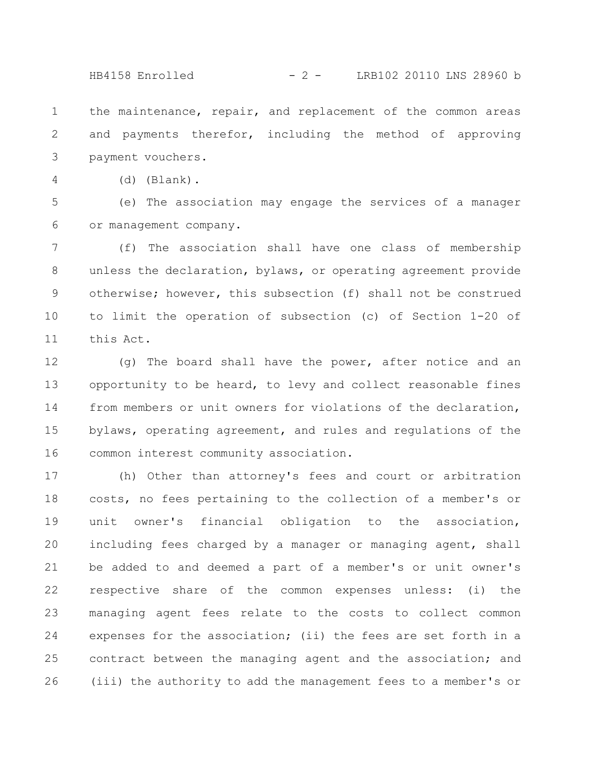HB4158 Enrolled - 2 - LRB102 20110 LNS 28960 b

the maintenance, repair, and replacement of the common areas and payments therefor, including the method of approving payment vouchers. 1 2 3

(d) (Blank). 4

(e) The association may engage the services of a manager or management company. 5 6

(f) The association shall have one class of membership unless the declaration, bylaws, or operating agreement provide otherwise; however, this subsection (f) shall not be construed to limit the operation of subsection (c) of Section 1-20 of this Act. 7 8 9 10 11

(g) The board shall have the power, after notice and an opportunity to be heard, to levy and collect reasonable fines from members or unit owners for violations of the declaration, bylaws, operating agreement, and rules and regulations of the common interest community association. 12 13 14 15 16

(h) Other than attorney's fees and court or arbitration costs, no fees pertaining to the collection of a member's or unit owner's financial obligation to the association, including fees charged by a manager or managing agent, shall be added to and deemed a part of a member's or unit owner's respective share of the common expenses unless: (i) the managing agent fees relate to the costs to collect common expenses for the association; (ii) the fees are set forth in a contract between the managing agent and the association; and (iii) the authority to add the management fees to a member's or 17 18 19 20 21 22 23 24 25 26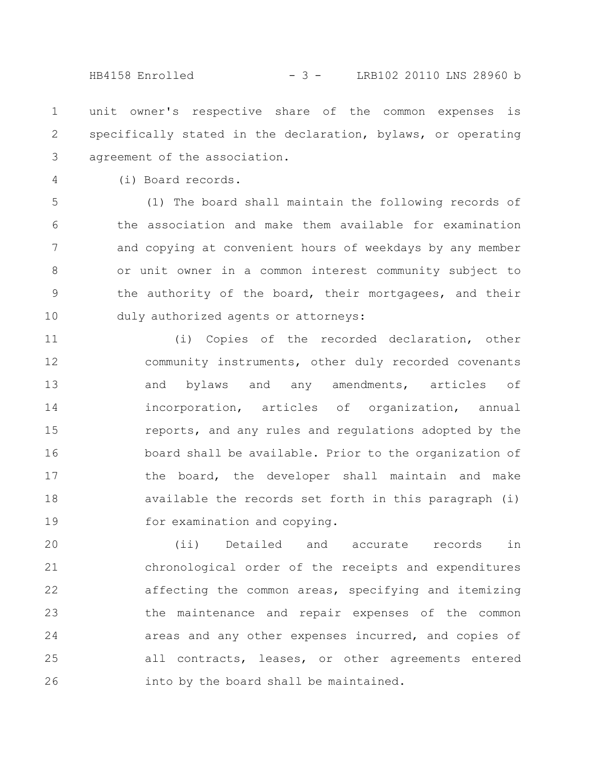HB4158 Enrolled - 3 - LRB102 20110 LNS 28960 b

unit owner's respective share of the common expenses is specifically stated in the declaration, bylaws, or operating agreement of the association. 1 2 3

(i) Board records.

4

(1) The board shall maintain the following records of the association and make them available for examination and copying at convenient hours of weekdays by any member or unit owner in a common interest community subject to the authority of the board, their mortgagees, and their duly authorized agents or attorneys: 5 6 7 8 9 10

(i) Copies of the recorded declaration, other community instruments, other duly recorded covenants and bylaws and any amendments, articles of incorporation, articles of organization, annual reports, and any rules and regulations adopted by the board shall be available. Prior to the organization of the board, the developer shall maintain and make available the records set forth in this paragraph (i) for examination and copying. 11 12 13 14 15 16 17 18 19

(ii) Detailed and accurate records in chronological order of the receipts and expenditures affecting the common areas, specifying and itemizing the maintenance and repair expenses of the common areas and any other expenses incurred, and copies of all contracts, leases, or other agreements entered into by the board shall be maintained. 20 21 22 23 24 25 26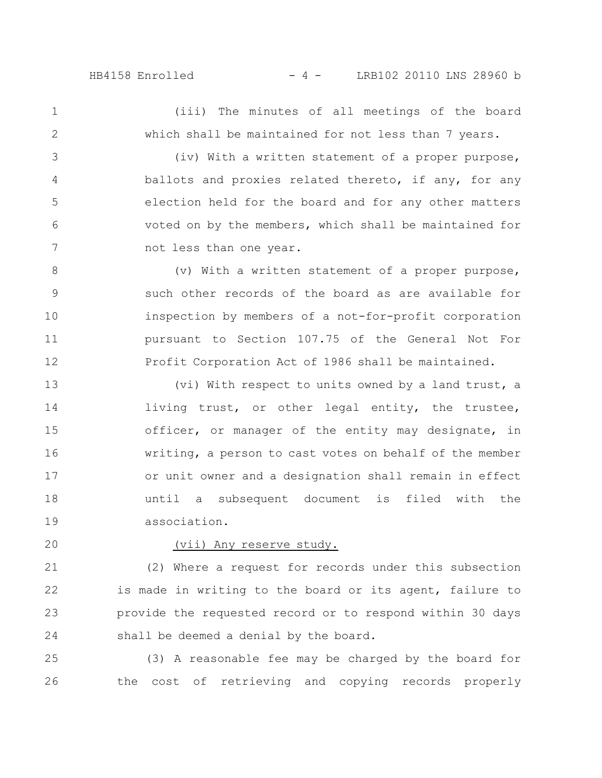# HB4158 Enrolled - 4 - LRB102 20110 LNS 28960 b

(iii) The minutes of all meetings of the board which shall be maintained for not less than 7 years. 1 2

(iv) With a written statement of a proper purpose, ballots and proxies related thereto, if any, for any election held for the board and for any other matters voted on by the members, which shall be maintained for not less than one year. 3 4 5 6 7

(v) With a written statement of a proper purpose, such other records of the board as are available for inspection by members of a not-for-profit corporation pursuant to Section 107.75 of the General Not For Profit Corporation Act of 1986 shall be maintained. 8 9 10 11 12

(vi) With respect to units owned by a land trust, a living trust, or other legal entity, the trustee, officer, or manager of the entity may designate, in writing, a person to cast votes on behalf of the member or unit owner and a designation shall remain in effect until a subsequent document is filed with the association. 13 14 15 16 17 18 19

20

### (vii) Any reserve study.

(2) Where a request for records under this subsection is made in writing to the board or its agent, failure to provide the requested record or to respond within 30 days shall be deemed a denial by the board. 21 22 23 24

(3) A reasonable fee may be charged by the board for the cost of retrieving and copying records properly 25 26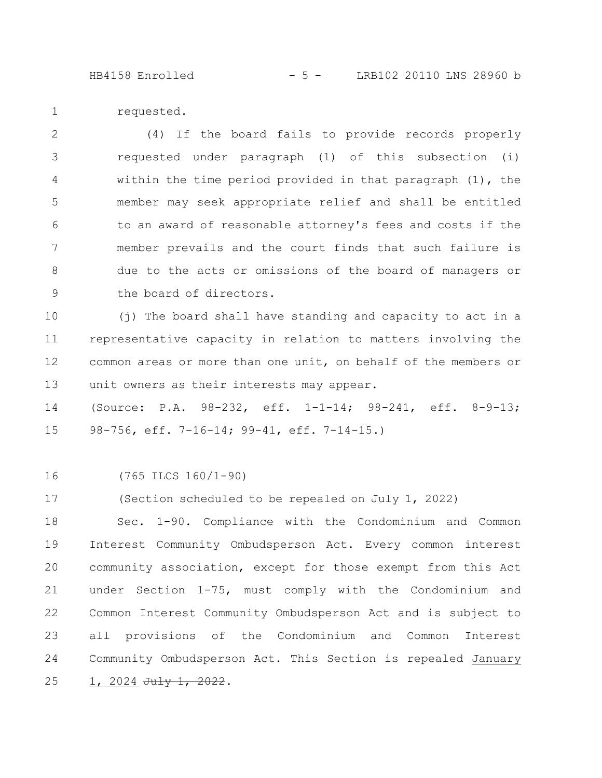HB4158 Enrolled - 5 - LRB102 20110 LNS 28960 b

requested. 1

(4) If the board fails to provide records properly requested under paragraph (1) of this subsection (i) within the time period provided in that paragraph (1), the member may seek appropriate relief and shall be entitled to an award of reasonable attorney's fees and costs if the member prevails and the court finds that such failure is due to the acts or omissions of the board of managers or the board of directors. 2 3 4 5 6 7 8 9

(j) The board shall have standing and capacity to act in a representative capacity in relation to matters involving the common areas or more than one unit, on behalf of the members or unit owners as their interests may appear. 10 11 12 13

(Source: P.A. 98-232, eff. 1-1-14; 98-241, eff. 8-9-13; 98-756, eff. 7-16-14; 99-41, eff. 7-14-15.) 14 15

(765 ILCS 160/1-90) 16

(Section scheduled to be repealed on July 1, 2022) 17

Sec. 1-90. Compliance with the Condominium and Common Interest Community Ombudsperson Act. Every common interest community association, except for those exempt from this Act under Section 1-75, must comply with the Condominium and Common Interest Community Ombudsperson Act and is subject to all provisions of the Condominium and Common Interest Community Ombudsperson Act. This Section is repealed January 1, 2024 July 1, 2022. 18 19 20 21 22 23 24 25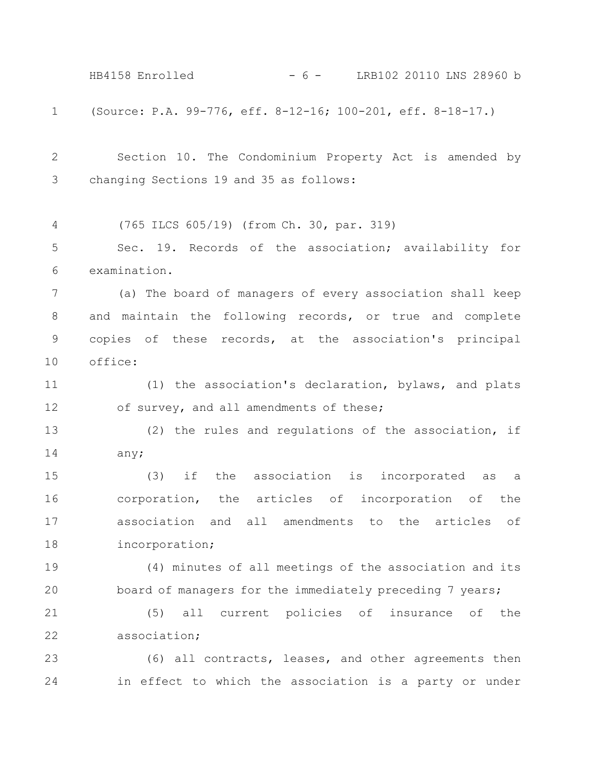(Source: P.A. 99-776, eff. 8-12-16; 100-201, eff. 8-18-17.) Section 10. The Condominium Property Act is amended by changing Sections 19 and 35 as follows: (765 ILCS 605/19) (from Ch. 30, par. 319) Sec. 19. Records of the association; availability for examination. (a) The board of managers of every association shall keep and maintain the following records, or true and complete copies of these records, at the association's principal office: (1) the association's declaration, bylaws, and plats of survey, and all amendments of these; (2) the rules and regulations of the association, if any; (3) if the association is incorporated as a corporation, the articles of incorporation of the association and all amendments to the articles of incorporation; (4) minutes of all meetings of the association and its board of managers for the immediately preceding 7 years; (5) all current policies of insurance of the association; (6) all contracts, leases, and other agreements then in effect to which the association is a party or under 1 2 3 4 5 6 7 8 9 10 11 12 13 14 15 16 17 18 19 20 21 22 23 24 HB4158 Enrolled - 6 - LRB102 20110 LNS 28960 b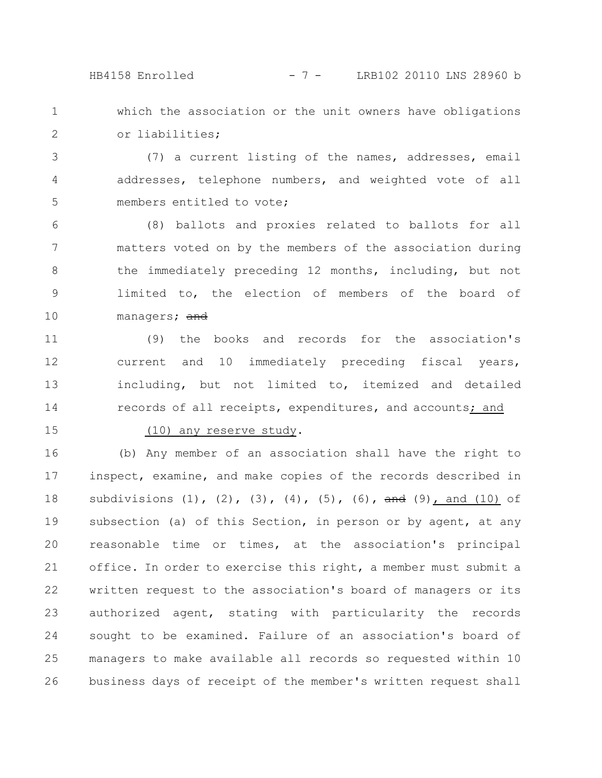## HB4158 Enrolled - 7 - LRB102 20110 LNS 28960 b

which the association or the unit owners have obligations or liabilities; 1 2

(7) a current listing of the names, addresses, email addresses, telephone numbers, and weighted vote of all members entitled to vote; 3 4 5

(8) ballots and proxies related to ballots for all matters voted on by the members of the association during the immediately preceding 12 months, including, but not limited to, the election of members of the board of managers; and 6 7 8 9 10

(9) the books and records for the association's current and 10 immediately preceding fiscal years, including, but not limited to, itemized and detailed records of all receipts, expenditures, and accounts; and 11 12 13 14

15

#### (10) any reserve study.

(b) Any member of an association shall have the right to inspect, examine, and make copies of the records described in subdivisions  $(1)$ ,  $(2)$ ,  $(3)$ ,  $(4)$ ,  $(5)$ ,  $(6)$ ,  $\frac{1}{2}$ ,  $\frac{1}{2}$  and  $(10)$  of subsection (a) of this Section, in person or by agent, at any reasonable time or times, at the association's principal office. In order to exercise this right, a member must submit a written request to the association's board of managers or its authorized agent, stating with particularity the records sought to be examined. Failure of an association's board of managers to make available all records so requested within 10 business days of receipt of the member's written request shall 16 17 18 19 20 21 22 23 24 25 26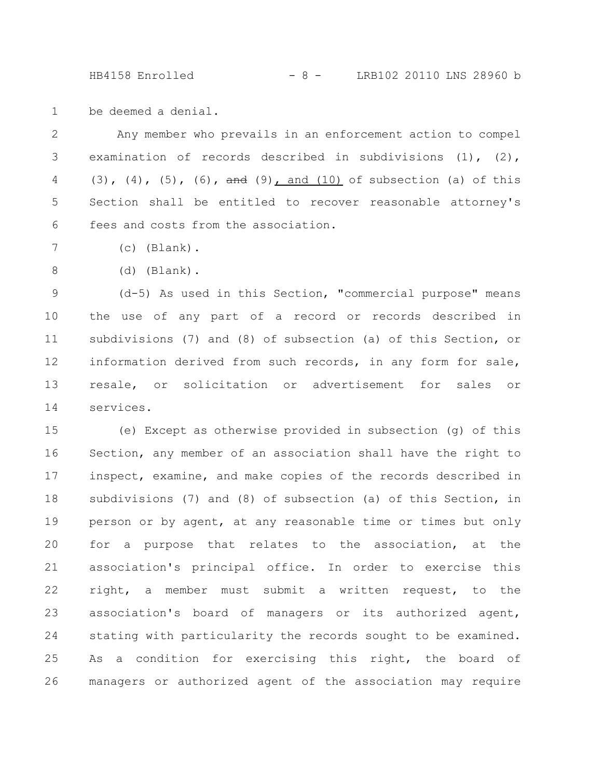HB4158 Enrolled - 8 - LRB102 20110 LNS 28960 b

be deemed a denial. 1

Any member who prevails in an enforcement action to compel examination of records described in subdivisions (1), (2), (3), (4), (5), (6),  $\frac{1}{2}$  and (10) of subsection (a) of this Section shall be entitled to recover reasonable attorney's fees and costs from the association. 2 3 4 5 6

- (c) (Blank). 7
- (d) (Blank). 8

(d-5) As used in this Section, "commercial purpose" means the use of any part of a record or records described in subdivisions (7) and (8) of subsection (a) of this Section, or information derived from such records, in any form for sale, resale, or solicitation or advertisement for sales or services. 9 10 11 12 13 14

(e) Except as otherwise provided in subsection (g) of this Section, any member of an association shall have the right to inspect, examine, and make copies of the records described in subdivisions (7) and (8) of subsection (a) of this Section, in person or by agent, at any reasonable time or times but only for a purpose that relates to the association, at the association's principal office. In order to exercise this right, a member must submit a written request, to the association's board of managers or its authorized agent, stating with particularity the records sought to be examined. As a condition for exercising this right, the board of managers or authorized agent of the association may require 15 16 17 18 19 20 21 22 23 24 25 26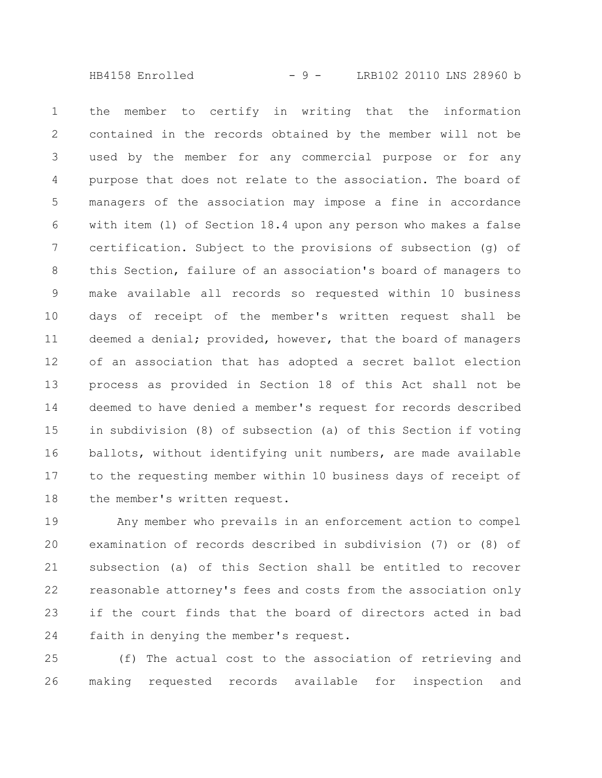HB4158 Enrolled - 9 - LRB102 20110 LNS 28960 b

the member to certify in writing that the information contained in the records obtained by the member will not be used by the member for any commercial purpose or for any purpose that does not relate to the association. The board of managers of the association may impose a fine in accordance with item (l) of Section 18.4 upon any person who makes a false certification. Subject to the provisions of subsection (g) of this Section, failure of an association's board of managers to make available all records so requested within 10 business days of receipt of the member's written request shall be deemed a denial; provided, however, that the board of managers of an association that has adopted a secret ballot election process as provided in Section 18 of this Act shall not be deemed to have denied a member's request for records described in subdivision (8) of subsection (a) of this Section if voting ballots, without identifying unit numbers, are made available to the requesting member within 10 business days of receipt of the member's written request. 1 2 3 4 5 6 7 8 9 10 11 12 13 14 15 16 17 18

Any member who prevails in an enforcement action to compel examination of records described in subdivision (7) or (8) of subsection (a) of this Section shall be entitled to recover reasonable attorney's fees and costs from the association only if the court finds that the board of directors acted in bad faith in denying the member's request. 19 20 21 22 23 24

(f) The actual cost to the association of retrieving and making requested records available for inspection and 25 26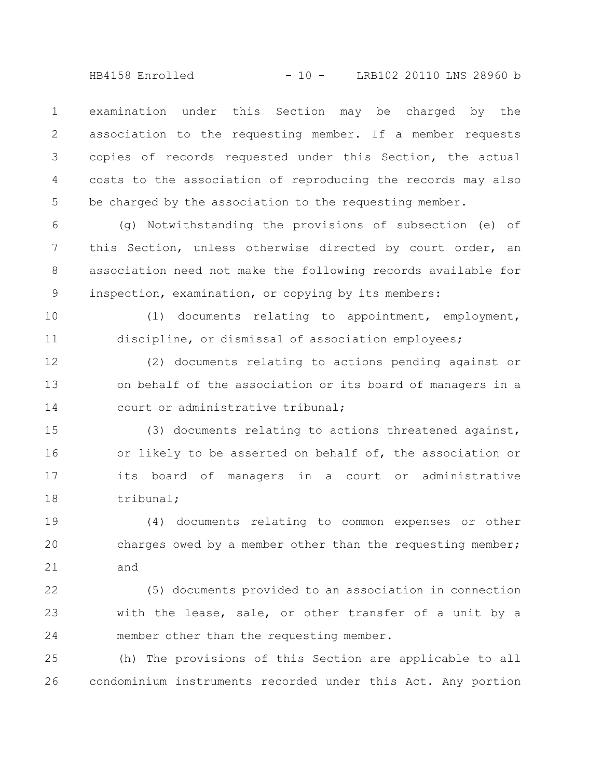HB4158 Enrolled - 10 - LRB102 20110 LNS 28960 b

examination under this Section may be charged by the association to the requesting member. If a member requests copies of records requested under this Section, the actual costs to the association of reproducing the records may also be charged by the association to the requesting member. 1 2 3 4 5

(g) Notwithstanding the provisions of subsection (e) of this Section, unless otherwise directed by court order, an association need not make the following records available for inspection, examination, or copying by its members: 6 7 8 9

(1) documents relating to appointment, employment, discipline, or dismissal of association employees; 10 11

(2) documents relating to actions pending against or on behalf of the association or its board of managers in a court or administrative tribunal; 12 13 14

(3) documents relating to actions threatened against, or likely to be asserted on behalf of, the association or its board of managers in a court or administrative tribunal; 15 16 17 18

(4) documents relating to common expenses or other charges owed by a member other than the requesting member; and 19 20 21

(5) documents provided to an association in connection with the lease, sale, or other transfer of a unit by a member other than the requesting member. 22 23 24

(h) The provisions of this Section are applicable to all condominium instruments recorded under this Act. Any portion 25 26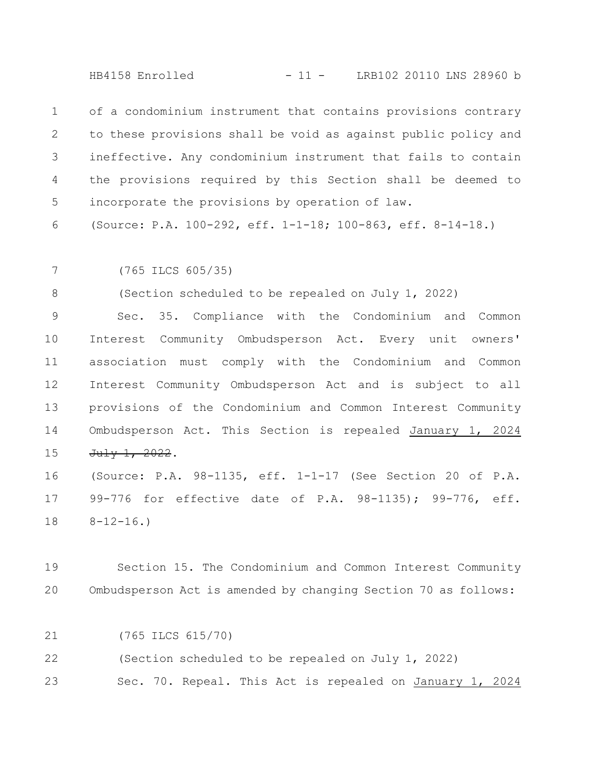HB4158 Enrolled - 11 - LRB102 20110 LNS 28960 b

of a condominium instrument that contains provisions contrary to these provisions shall be void as against public policy and ineffective. Any condominium instrument that fails to contain the provisions required by this Section shall be deemed to incorporate the provisions by operation of law. 1 2 3 4 5

(Source: P.A. 100-292, eff. 1-1-18; 100-863, eff. 8-14-18.) 6

(765 ILCS 605/35) 7

(Section scheduled to be repealed on July 1, 2022) 8

Sec. 35. Compliance with the Condominium and Common Interest Community Ombudsperson Act. Every unit owners' association must comply with the Condominium and Common Interest Community Ombudsperson Act and is subject to all provisions of the Condominium and Common Interest Community Ombudsperson Act. This Section is repealed January 1, 2024 July 1, 2022. 9 10 11 12 13 14 15

(Source: P.A. 98-1135, eff. 1-1-17 (See Section 20 of P.A. 99-776 for effective date of P.A. 98-1135); 99-776, eff.  $8 - 12 - 16.$ 16 17 18

Section 15. The Condominium and Common Interest Community Ombudsperson Act is amended by changing Section 70 as follows: 19 20

(765 ILCS 615/70) 21

(Section scheduled to be repealed on July 1, 2022) 22

Sec. 70. Repeal. This Act is repealed on January 1, 2024 23